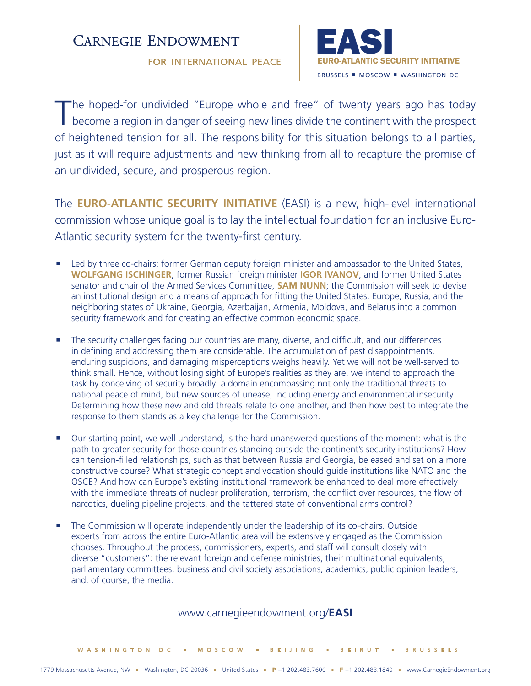# **CARNEGIE ENDOWMENT**

**FOR INTERNATIONAL PEACE** 



The hoped-for undivided "Europe whole and free" of twenty years ago has today<br>become a region in danger of seeing new lines divide the continent with the prospect of heightened tension for all. The responsibility for this situation belongs to all parties, just as it will require adjustments and new thinking from all to recapture the promise of an undivided, secure, and prosperous region.

The **EURO-ATLANTIC SECURITY INITIATIVE** (EASI) is a new, high-level international commission whose unique goal is to lay the intellectual foundation for an inclusive Euro-Atlantic security system for the twenty-first century.

- **Led by three co-chairs: former German deputy foreign minister and ambassador to the United States, WOLFGANG ISCHINGER**, former Russian foreign minister **IGOR IVANOV**, and former United States senator and chair of the Armed Services Committee, **SAM NUNN**; the Commission will seek to devise an institutional design and a means of approach for fitting the United States, Europe, Russia, and the neighboring states of Ukraine, Georgia, Azerbaijan, Armenia, Moldova, and Belarus into a common security framework and for creating an effective common economic space.
- The security challenges facing our countries are many, diverse, and difficult, and our differences in defining and addressing them are considerable. The accumulation of past disappointments, enduring suspicions, and damaging misperceptions weighs heavily. Yet we will not be well-served to think small. Hence, without losing sight of Europe's realities as they are, we intend to approach the task by conceiving of security broadly: a domain encompassing not only the traditional threats to national peace of mind, but new sources of unease, including energy and environmental insecurity. Determining how these new and old threats relate to one another, and then how best to integrate the response to them stands as a key challenge for the Commission.
- Our starting point, we well understand, is the hard unanswered questions of the moment: what is the path to greater security for those countries standing outside the continent's security institutions? How can tension-filled relationships, such as that between Russia and Georgia, be eased and set on a more constructive course? What strategic concept and vocation should guide institutions like NATO and the OSCE? And how can Europe's existing institutional framework be enhanced to deal more effectively with the immediate threats of nuclear proliferation, terrorism, the conflict over resources, the flow of narcotics, dueling pipeline projects, and the tattered state of conventional arms control?
- **The Commission will operate independently under the leadership of its co-chairs. Outside** experts from across the entire Euro-Atlantic area will be extensively engaged as the Commission chooses. Throughout the process, commissioners, experts, and staff will consult closely with diverse "customers": the relevant foreign and defense ministries, their multinational equivalents, parliamentary committees, business and civil society associations, academics, public opinion leaders, and, of course, the media.

### www.carnegieendowment.org/**EASI**